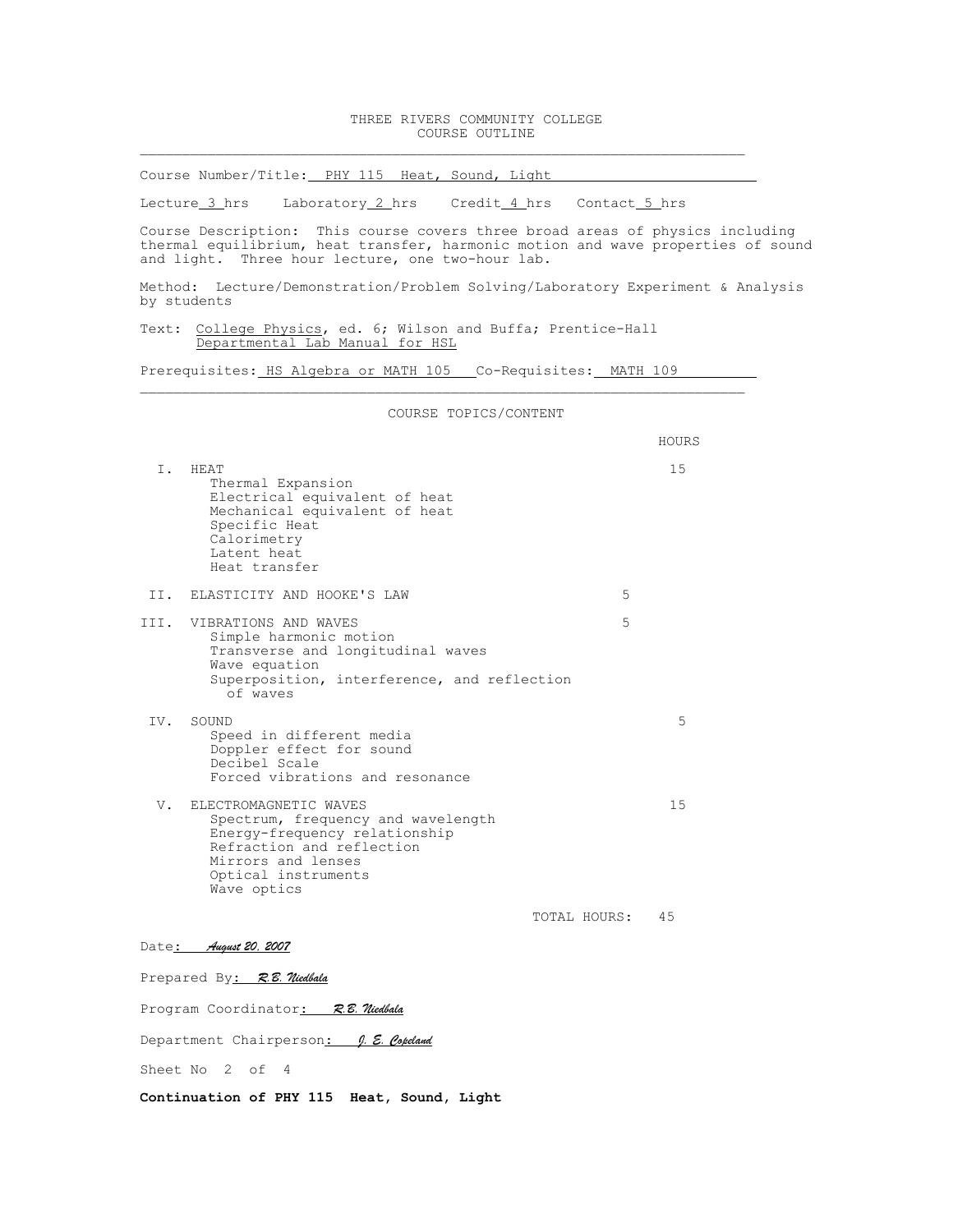## THREE RIVERS COMMUNITY COLLEGE COURSE OUTLINE

Course Number/Title: PHY 115 Heat, Sound, Light

Lecture 3 hrs Laboratory 2 hrs Credit 4 hrs Contact 5 hrs

Course Description: This course covers three broad areas of physics including thermal equilibrium, heat transfer, harmonic motion and wave properties of sound and light. Three hour lecture, one two-hour lab.

Method: Lecture/Demonstration/Problem Solving/Laboratory Experiment & Analysis by students

Text: College Physics, ed. 6; Wilson and Buffa; Prentice-Hall Departmental Lab Manual for HSL

Prerequisites: HS Algebra or MATH 105 Co-Requisites: MATH 109

 $\mathcal{L}_\text{max} = \mathcal{L}_\text{max} = \mathcal{L}_\text{max} = \mathcal{L}_\text{max} = \mathcal{L}_\text{max} = \mathcal{L}_\text{max} = \mathcal{L}_\text{max} = \mathcal{L}_\text{max} = \mathcal{L}_\text{max} = \mathcal{L}_\text{max} = \mathcal{L}_\text{max} = \mathcal{L}_\text{max} = \mathcal{L}_\text{max} = \mathcal{L}_\text{max} = \mathcal{L}_\text{max} = \mathcal{L}_\text{max} = \mathcal{L}_\text{max} = \mathcal{L}_\text{max} = \mathcal{$ COURSE TOPICS/CONTENT HOURS I. HEAT 15 Thermal Expansion Electrical equivalent of heat Mechanical equivalent of heat Specific Heat Calorimetry Latent heat Heat transfer II. ELASTICITY AND HOOKE'S LAW 5 III. VIBRATIONS AND WAVES 5 Simple harmonic motion Transverse and longitudinal waves Wave equation Superposition, interference, and reflection of waves IV. SOUND 5 Speed in different media Doppler effect for sound Decibel Scale Forced vibrations and resonance V. ELECTROMAGNETIC WAVES 15 Spectrum, frequency and wavelength Energy-frequency relationship Refraction and reflection Mirrors and lenses Optical instruments Wave optics TOTAL HOURS: 45 Date: *August 20, 2007*

Prepared By: *R.B. Niedbala*

Program Coordinator: *R.B. Niedbala*

Department Chairperson: *J. E. Copeland*

Sheet No 2 of 4

**Continuation of PHY 115 Heat, Sound, Light**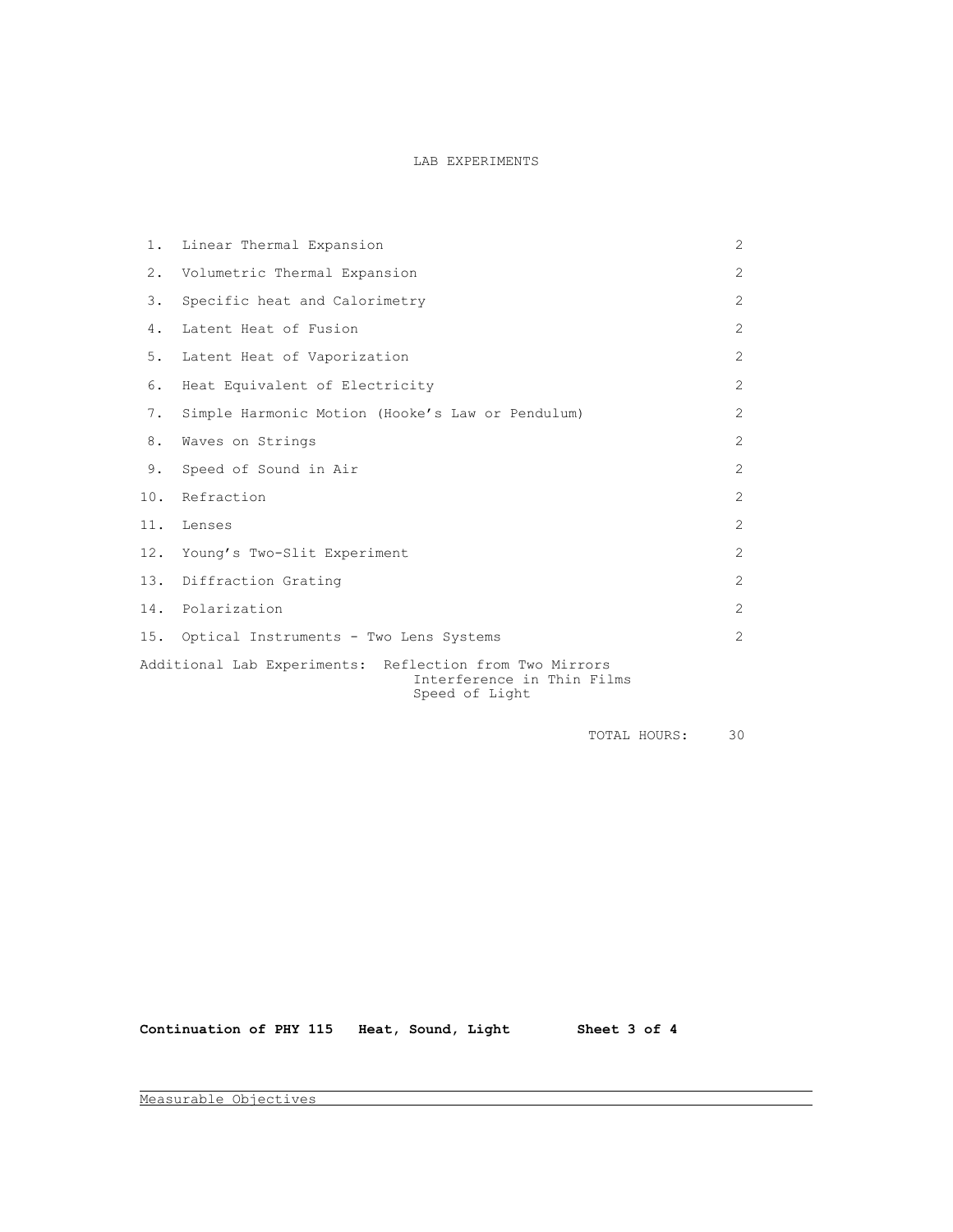## LAB EXPERIMENTS

| 1.  | Linear Thermal Expansion                                                                                | 2              |  |
|-----|---------------------------------------------------------------------------------------------------------|----------------|--|
| 2.  | Volumetric Thermal Expansion                                                                            | $\overline{2}$ |  |
| 3.  | Specific heat and Calorimetry                                                                           | $\overline{2}$ |  |
| 4.  | Latent Heat of Fusion                                                                                   | $\overline{2}$ |  |
| 5.  | Latent Heat of Vaporization                                                                             | 2              |  |
| 6.  | Heat Equivalent of Electricity                                                                          | 2              |  |
| 7.  | Simple Harmonic Motion (Hooke's Law or Pendulum)                                                        | 2              |  |
| 8.  | Waves on Strings                                                                                        | $\overline{2}$ |  |
| 9.  | Speed of Sound in Air                                                                                   | $\overline{2}$ |  |
| 10. | Refraction                                                                                              | $\overline{2}$ |  |
| 11. | Lenses                                                                                                  | 2              |  |
| 12. | Young's Two-Slit Experiment                                                                             | $\overline{c}$ |  |
| 13. | Diffraction Grating                                                                                     | $\overline{2}$ |  |
| 14. | Polarization                                                                                            | 2              |  |
|     | 15. Optical Instruments - Two Lens Systems                                                              | $\overline{2}$ |  |
|     | Additional Lab Experiments: Reflection from Two Mirrors<br>Interference in Thin Films<br>Speed of Light |                |  |

TOTAL HOURS: 30

Continuation of PHY 115 Heat, Sound, Light Sheet 3 of 4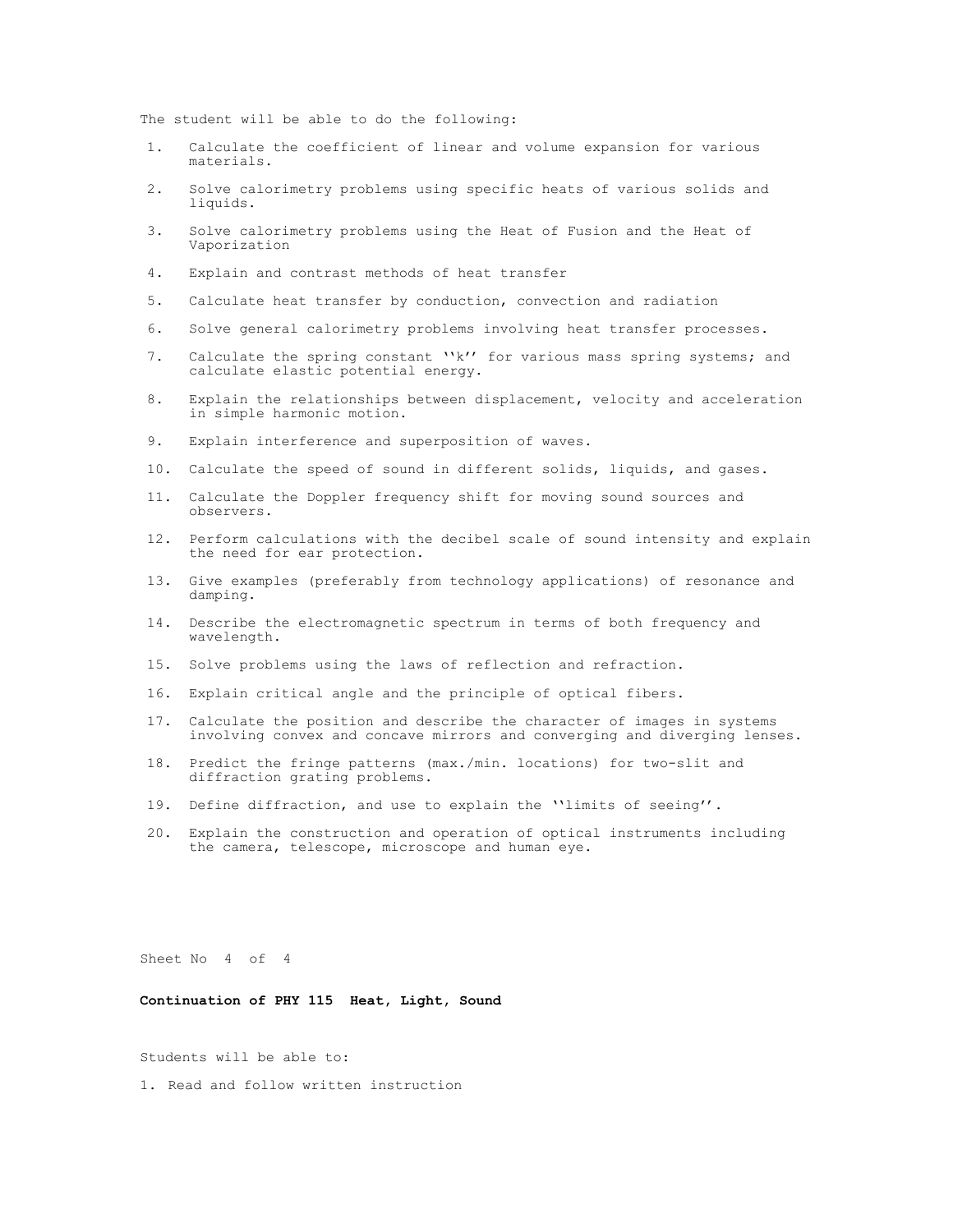The student will be able to do the following:

- 1. Calculate the coefficient of linear and volume expansion for various materials.
- 2. Solve calorimetry problems using specific heats of various solids and liquids.
- 3. Solve calorimetry problems using the Heat of Fusion and the Heat of Vaporization
- 4. Explain and contrast methods of heat transfer
- 5. Calculate heat transfer by conduction, convection and radiation
- 6. Solve general calorimetry problems involving heat transfer processes.
- 7. Calculate the spring constant "k" for various mass spring systems; and calculate elastic potential energy.
- 8. Explain the relationships between displacement, velocity and acceleration in simple harmonic motion.
- 9. Explain interference and superposition of waves.
- 10. Calculate the speed of sound in different solids, liquids, and gases.
- 11. Calculate the Doppler frequency shift for moving sound sources and observers.
- 12. Perform calculations with the decibel scale of sound intensity and explain the need for ear protection.
- 13. Give examples (preferably from technology applications) of resonance and damping.
- 14. Describe the electromagnetic spectrum in terms of both frequency and wavelength.
- 15. Solve problems using the laws of reflection and refraction.
- 16. Explain critical angle and the principle of optical fibers.
- 17. Calculate the position and describe the character of images in systems involving convex and concave mirrors and converging and diverging lenses.
- 18. Predict the fringe patterns (max./min. locations) for two-slit and diffraction grating problems.
- 19. Define diffraction, and use to explain the ''limits of seeing''.
- 20. Explain the construction and operation of optical instruments including the camera, telescope, microscope and human eye.

Sheet No 4 of 4

**Continuation of PHY 115 Heat, Light, Sound**

Students will be able to:

1. Read and follow written instruction